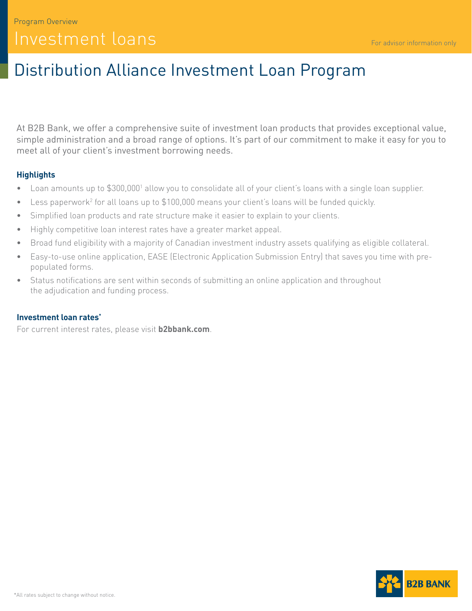# Distribution Alliance Investment Loan Program

At B2B Bank, we offer a comprehensive suite of investment loan products that provides exceptional value, simple administration and a broad range of options. It's part of our commitment to make it easy for you to meet all of your client's investment borrowing needs.

# **Highlights**

- Loan amounts up to \$300,0001 allow you to consolidate all of your client's loans with a single loan supplier.
- $\bullet$  Less paperwork<sup>2</sup> for all loans up to \$100,000 means your client's loans will be funded quickly.
- Simplified loan products and rate structure make it easier to explain to your clients.
- Highly competitive loan interest rates have a greater market appeal.
- Broad fund eligibility with a majority of Canadian investment industry assets qualifying as eligible collateral.
- Easy-to-use online application, EASE (Electronic Application Submission Entry) that saves you time with prepopulated forms.
- Status notifications are sent within seconds of submitting an online application and throughout the adjudication and funding process.

### **Investment loan rates\***

For current interest rates, please visit **[b2bbank.com](http://b2bbank.com)**.